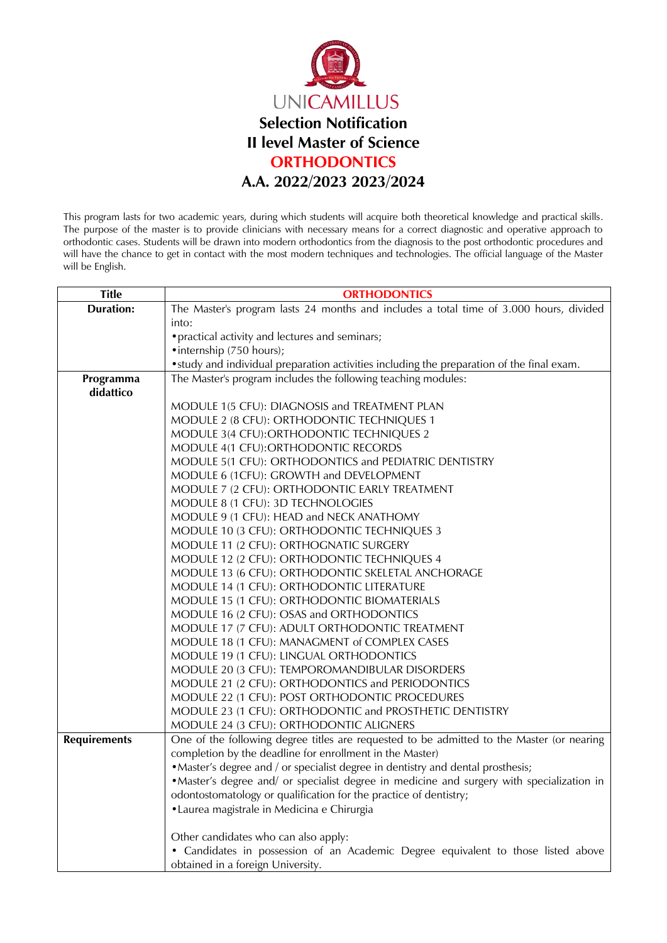

This program lasts for two academic years, during which students will acquire both theoretical knowledge and practical skills. The purpose of the master is to provide clinicians with necessary means for a correct diagnostic and operative approach to orthodontic cases. Students will be drawn into modern orthodontics from the diagnosis to the post orthodontic procedures and will have the chance to get in contact with the most modern techniques and technologies. The official language of the Master will be English.

| <b>Title</b>        | <b>ORTHODONTICS</b>                                                                        |
|---------------------|--------------------------------------------------------------------------------------------|
| <b>Duration:</b>    | The Master's program lasts 24 months and includes a total time of 3.000 hours, divided     |
|                     | into:                                                                                      |
|                     | • practical activity and lectures and seminars;                                            |
|                     | • internship (750 hours);                                                                  |
|                     | • study and individual preparation activities including the preparation of the final exam. |
| Programma           | The Master's program includes the following teaching modules:                              |
| didattico           |                                                                                            |
|                     | MODULE 1(5 CFU): DIAGNOSIS and TREATMENT PLAN                                              |
|                     | MODULE 2 (8 CFU): ORTHODONTIC TECHNIQUES 1                                                 |
|                     | MODULE 3(4 CFU):ORTHODONTIC TECHNIQUES 2                                                   |
|                     | MODULE 4(1 CFU): ORTHODONTIC RECORDS                                                       |
|                     | MODULE 5(1 CFU): ORTHODONTICS and PEDIATRIC DENTISTRY                                      |
|                     | MODULE 6 (1CFU): GROWTH and DEVELOPMENT                                                    |
|                     | MODULE 7 (2 CFU): ORTHODONTIC EARLY TREATMENT                                              |
|                     | MODULE 8 (1 CFU): 3D TECHNOLOGIES                                                          |
|                     | MODULE 9 (1 CFU): HEAD and NECK ANATHOMY                                                   |
|                     | MODULE 10 (3 CFU): ORTHODONTIC TECHNIQUES 3                                                |
|                     | MODULE 11 (2 CFU): ORTHOGNATIC SURGERY                                                     |
|                     | MODULE 12 (2 CFU): ORTHODONTIC TECHNIQUES 4                                                |
|                     | MODULE 13 (6 CFU): ORTHODONTIC SKELETAL ANCHORAGE                                          |
|                     | MODULE 14 (1 CFU): ORTHODONTIC LITERATURE                                                  |
|                     | MODULE 15 (1 CFU): ORTHODONTIC BIOMATERIALS                                                |
|                     | MODULE 16 (2 CFU): OSAS and ORTHODONTICS                                                   |
|                     | MODULE 17 (7 CFU): ADULT ORTHODONTIC TREATMENT                                             |
|                     | MODULE 18 (1 CFU): MANAGMENT of COMPLEX CASES                                              |
|                     | MODULE 19 (1 CFU): LINGUAL ORTHODONTICS                                                    |
|                     | MODULE 20 (3 CFU): TEMPOROMANDIBULAR DISORDERS                                             |
|                     | MODULE 21 (2 CFU): ORTHODONTICS and PERIODONTICS                                           |
|                     | MODULE 22 (1 CFU): POST ORTHODONTIC PROCEDURES                                             |
|                     | MODULE 23 (1 CFU): ORTHODONTIC and PROSTHETIC DENTISTRY                                    |
|                     | MODULE 24 (3 CFU): ORTHODONTIC ALIGNERS                                                    |
| <b>Requirements</b> | One of the following degree titles are requested to be admitted to the Master (or nearing  |
|                     | completion by the deadline for enrollment in the Master)                                   |
|                     | • Master's degree and / or specialist degree in dentistry and dental prosthesis;           |
|                     | • Master's degree and/ or specialist degree in medicine and surgery with specialization in |
|                     | odontostomatology or qualification for the practice of dentistry;                          |
|                     | • Laurea magistrale in Medicina e Chirurgia                                                |
|                     | Other candidates who can also apply:                                                       |
|                     | • Candidates in possession of an Academic Degree equivalent to those listed above          |
|                     | obtained in a foreign University.                                                          |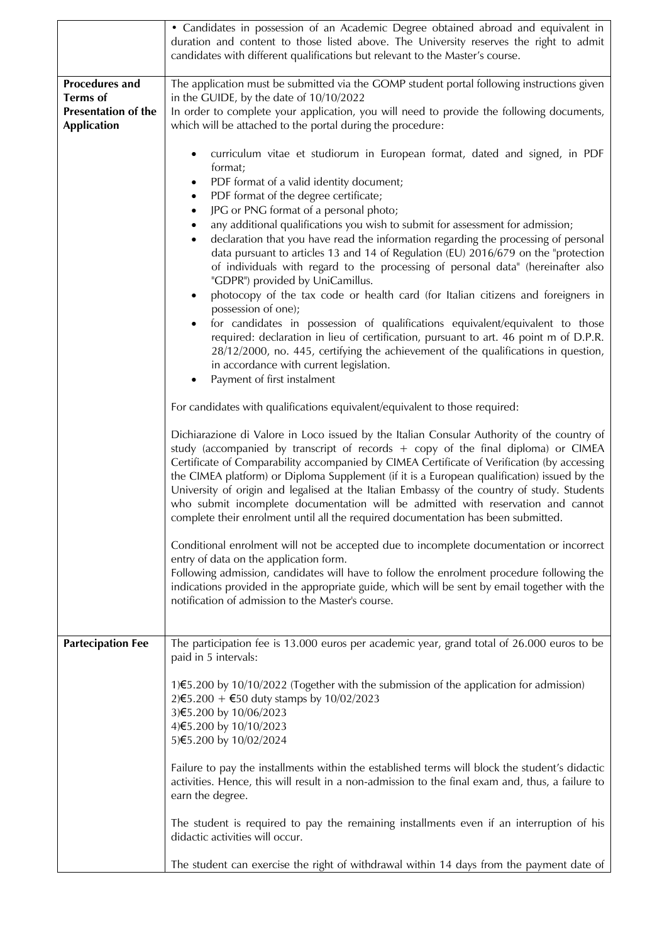|                                                                                              | • Candidates in possession of an Academic Degree obtained abroad and equivalent in<br>duration and content to those listed above. The University reserves the right to admit<br>candidates with different qualifications but relevant to the Master's course.                                                                                                                                                                                                                                                                                                                                                                                                                                                                                                                                                                                                                                                                                                                                                                                                                                                                                                                                                                                                                                                                                                                                                                                                                                                                                                                                                                                                                                                                                                                                                                                                                                                                                                                                                                                                                                                                                                                                                                               |
|----------------------------------------------------------------------------------------------|---------------------------------------------------------------------------------------------------------------------------------------------------------------------------------------------------------------------------------------------------------------------------------------------------------------------------------------------------------------------------------------------------------------------------------------------------------------------------------------------------------------------------------------------------------------------------------------------------------------------------------------------------------------------------------------------------------------------------------------------------------------------------------------------------------------------------------------------------------------------------------------------------------------------------------------------------------------------------------------------------------------------------------------------------------------------------------------------------------------------------------------------------------------------------------------------------------------------------------------------------------------------------------------------------------------------------------------------------------------------------------------------------------------------------------------------------------------------------------------------------------------------------------------------------------------------------------------------------------------------------------------------------------------------------------------------------------------------------------------------------------------------------------------------------------------------------------------------------------------------------------------------------------------------------------------------------------------------------------------------------------------------------------------------------------------------------------------------------------------------------------------------------------------------------------------------------------------------------------------------|
| <b>Procedures and</b><br><b>Terms</b> of<br><b>Presentation of the</b><br><b>Application</b> | The application must be submitted via the GOMP student portal following instructions given<br>in the GUIDE, by the date of 10/10/2022<br>In order to complete your application, you will need to provide the following documents,<br>which will be attached to the portal during the procedure:                                                                                                                                                                                                                                                                                                                                                                                                                                                                                                                                                                                                                                                                                                                                                                                                                                                                                                                                                                                                                                                                                                                                                                                                                                                                                                                                                                                                                                                                                                                                                                                                                                                                                                                                                                                                                                                                                                                                             |
|                                                                                              | curriculum vitae et studiorum in European format, dated and signed, in PDF<br>٠<br>format;<br>PDF format of a valid identity document;<br>PDF format of the degree certificate;<br>$\bullet$<br>JPG or PNG format of a personal photo;<br>any additional qualifications you wish to submit for assessment for admission;<br>declaration that you have read the information regarding the processing of personal<br>data pursuant to articles 13 and 14 of Regulation (EU) 2016/679 on the "protection<br>of individuals with regard to the processing of personal data" (hereinafter also<br>"GDPR") provided by UniCamillus.<br>photocopy of the tax code or health card (for Italian citizens and foreigners in<br>$\bullet$<br>possession of one);<br>for candidates in possession of qualifications equivalent/equivalent to those<br>$\bullet$<br>required: declaration in lieu of certification, pursuant to art. 46 point m of D.P.R.<br>28/12/2000, no. 445, certifying the achievement of the qualifications in question,<br>in accordance with current legislation.<br>Payment of first instalment<br>For candidates with qualifications equivalent/equivalent to those required:<br>Dichiarazione di Valore in Loco issued by the Italian Consular Authority of the country of<br>study (accompanied by transcript of records + copy of the final diploma) or CIMEA<br>Certificate of Comparability accompanied by CIMEA Certificate of Verification (by accessing<br>the CIMEA platform) or Diploma Supplement (if it is a European qualification) issued by the<br>University of origin and legalised at the Italian Embassy of the country of study. Students<br>who submit incomplete documentation will be admitted with reservation and cannot<br>complete their enrolment until all the required documentation has been submitted.<br>Conditional enrolment will not be accepted due to incomplete documentation or incorrect<br>entry of data on the application form.<br>Following admission, candidates will have to follow the enrolment procedure following the<br>indications provided in the appropriate guide, which will be sent by email together with the<br>notification of admission to the Master's course. |
| <b>Partecipation Fee</b>                                                                     | The participation fee is 13.000 euros per academic year, grand total of 26.000 euros to be<br>paid in 5 intervals:<br>1)€5.200 by 10/10/2022 (Together with the submission of the application for admission)<br>2) €5.200 + €50 duty stamps by 10/02/2023<br>3)€5.200 by 10/06/2023<br>4)€5.200 by 10/10/2023<br>5)€5.200 by 10/02/2024                                                                                                                                                                                                                                                                                                                                                                                                                                                                                                                                                                                                                                                                                                                                                                                                                                                                                                                                                                                                                                                                                                                                                                                                                                                                                                                                                                                                                                                                                                                                                                                                                                                                                                                                                                                                                                                                                                     |
|                                                                                              | Failure to pay the installments within the established terms will block the student's didactic<br>activities. Hence, this will result in a non-admission to the final exam and, thus, a failure to<br>earn the degree.                                                                                                                                                                                                                                                                                                                                                                                                                                                                                                                                                                                                                                                                                                                                                                                                                                                                                                                                                                                                                                                                                                                                                                                                                                                                                                                                                                                                                                                                                                                                                                                                                                                                                                                                                                                                                                                                                                                                                                                                                      |
|                                                                                              | The student is required to pay the remaining installments even if an interruption of his<br>didactic activities will occur.                                                                                                                                                                                                                                                                                                                                                                                                                                                                                                                                                                                                                                                                                                                                                                                                                                                                                                                                                                                                                                                                                                                                                                                                                                                                                                                                                                                                                                                                                                                                                                                                                                                                                                                                                                                                                                                                                                                                                                                                                                                                                                                 |
|                                                                                              | The student can exercise the right of withdrawal within 14 days from the payment date of                                                                                                                                                                                                                                                                                                                                                                                                                                                                                                                                                                                                                                                                                                                                                                                                                                                                                                                                                                                                                                                                                                                                                                                                                                                                                                                                                                                                                                                                                                                                                                                                                                                                                                                                                                                                                                                                                                                                                                                                                                                                                                                                                    |